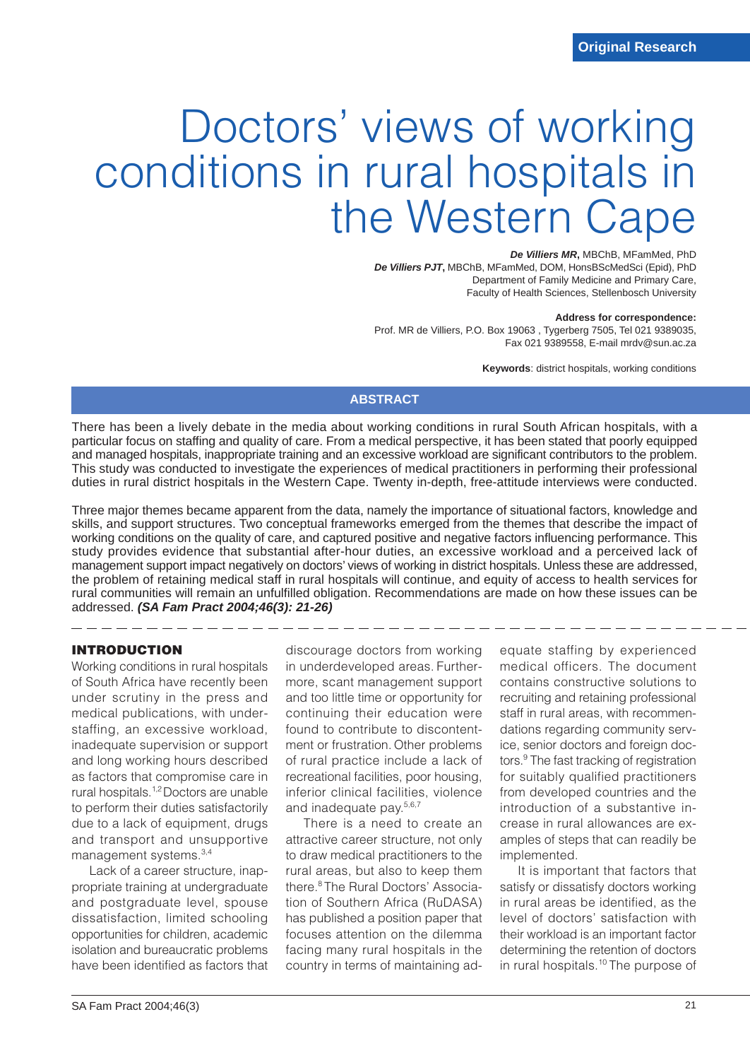# Doctors' views of working conditions in rural hospitals in the Western Ca

**De Villiers MR,** MBChB, MFamMed, PhD **De Villiers PJT,** MBChB, MFamMed, DOM, HonsBScMedSci (Epid), PhD Department of Family Medicine and Primary Care, Faculty of Health Sciences, Stellenbosch University

### **Address for correspondence:**

Prof. MR de Villiers, P.O. Box 19063 , Tygerberg 7505, Tel 021 9389035, Fax 021 9389558, E-mail mrdv@sun.ac.za

**Keywords**: district hospitals, working conditions

# **ABSTRACT**

There has been a lively debate in the media about working conditions in rural South African hospitals, with a particular focus on staffing and quality of care. From a medical perspective, it has been stated that poorly equipped and managed hospitals, inappropriate training and an excessive workload are significant contributors to the problem. This study was conducted to investigate the experiences of medical practitioners in performing their professional duties in rural district hospitals in the Western Cape. Twenty in-depth, free-attitude interviews were conducted.

Three major themes became apparent from the data, namely the importance of situational factors, knowledge and skills, and support structures. Two conceptual frameworks emerged from the themes that describe the impact of working conditions on the quality of care, and captured positive and negative factors influencing performance. This study provides evidence that substantial after-hour duties, an excessive workload and a perceived lack of management support impact negatively on doctors' views of working in district hospitals. Unless these are addressed, the problem of retaining medical staff in rural hospitals will continue, and equity of access to health services for rural communities will remain an unfulfilled obligation. Recommendations are made on how these issues can be addressed. **(SA Fam Pract 2004;46(3): 21-26)**

### INTRODUCTION

Working conditions in rural hospitals of South Africa have recently been under scrutiny in the press and medical publications, with understaffing, an excessive workload, inadequate supervision or support and long working hours described as factors that compromise care in rural hospitals.1,2 Doctors are unable to perform their duties satisfactorily due to a lack of equipment, drugs and transport and unsupportive management systems.3,4

Lack of a career structure, inappropriate training at undergraduate and postgraduate level, spouse dissatisfaction, limited schooling opportunities for children, academic isolation and bureaucratic problems have been identified as factors that discourage doctors from working in underdeveloped areas.Furthermore, scant management support and too little time or opportunity for continuing their education were found to contribute to discontentment or frustration. Other problems of rural practice include a lack of recreational facilities, poor housing, inferior clinical facilities, violence and inadequate pay.5,6,7

There is a need to create an attractive career structure, not only to draw medical practitioners to the rural areas, but also to keep them there.8 The Rural Doctors' Association of Southern Africa (RuDASA) has published a position paper that focuses attention on the dilemma facing many rural hospitals in the country in terms of maintaining adequate staffing by experienced medical officers. The document contains constructive solutions to recruiting and retaining professional staff in rural areas, with recommendations regarding community service, senior doctors and foreign doctors.<sup>9</sup> The fast tracking of registration for suitably qualified practitioners from developed countries and the introduction of a substantive increase in rural allowances are examples of steps that can readily be implemented.

It is important that factors that satisfy or dissatisfy doctors working in rural areas be identified, as the level of doctors' satisfaction with their workload is an important factor determining the retention of doctors in rural hospitals.<sup>10</sup> The purpose of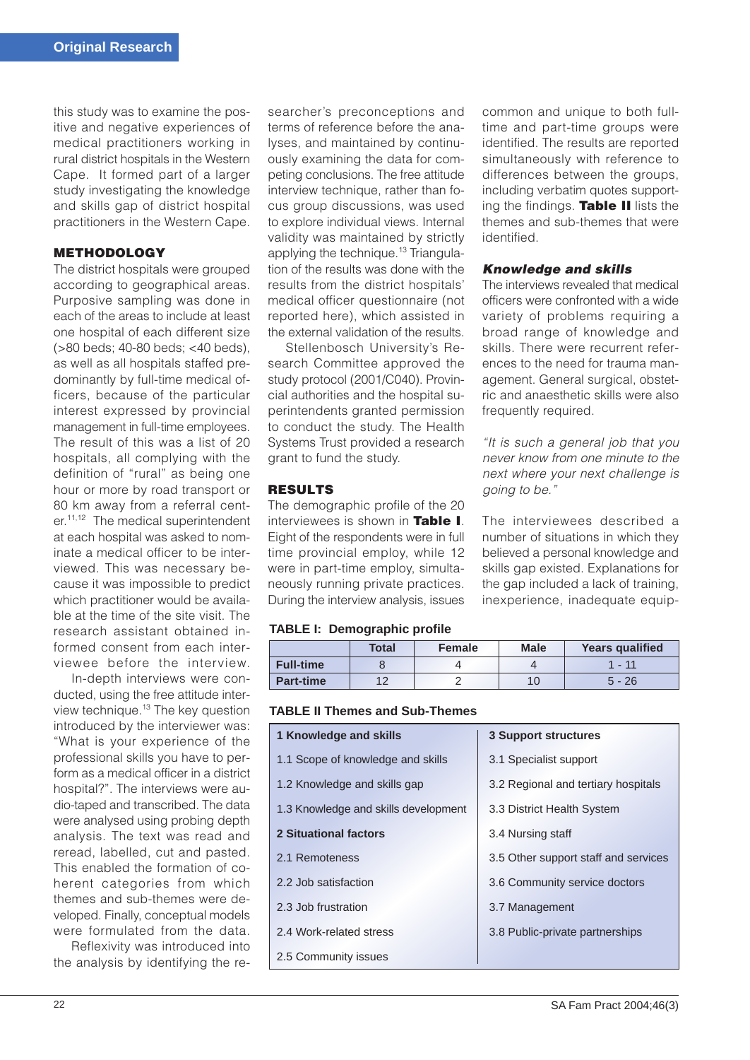this study was to examine the positive and negative experiences of medical practitioners working in rural district hospitals in the Western Cape. It formed part of a larger study investigating the knowledge and skills gap of district hospital practitioners in the Western Cape.

## METHODOLOGY

The district hospitals were grouped according to geographical areas. Purposive sampling was done in each of the areas to include at least one hospital of each different size (>80 beds; 40-80 beds; <40 beds), as well as all hospitals staffed predominantly by full-time medical officers, because of the particular interest expressed by provincial management in full-time employees. The result of this was a list of 20 hospitals, all complying with the definition of "rural" as being one hour or more by road transport or 80 km away from a referral center.<sup>11,12</sup> The medical superintendent at each hospital was asked to nominate a medical officer to be interviewed. This was necessary because it was impossible to predict which practitioner would be available at the time of the site visit. The research assistant obtained informed consent from each interviewee before the interview.

In-depth interviews were conducted, using the free attitude interview technique.<sup>13</sup> The key question introduced by the interviewer was: "What is your experience of the professional skills you have to perform as a medical officer in a district hospital?". The interviews were audio-taped and transcribed. The data were analysed using probing depth analysis. The text was read and reread, labelled, cut and pasted. This enabled the formation of coherent categories from which themes and sub-themes were developed. Finally, conceptual models were formulated from the data.

Reflexivity was introduced into the analysis by identifying the researcher's preconceptions and terms of reference before the analyses, and maintained by continuously examining the data for competing conclusions. The free attitude interview technique, rather than focus group discussions, was used to explore individual views. Internal validity was maintained by strictly applying the technique.<sup>13</sup> Triangulation of the results was done with the results from the district hospitals' medical officer questionnaire (not reported here), which assisted in the external validation of the results.

Stellenbosch University's Research Committee approved the study protocol (2001/C040). Provincial authorities and the hospital superintendents granted permission to conduct the study. The Health Systems Trust provided a research grant to fund the study.

# RESULTS

The demographic profile of the 20 interviewees is shown in Table I. Eight of the respondents were in full time provincial employ, while 12 were in part-time employ, simultaneously running private practices. During the interview analysis, issues

### **TABLE I: Demographic profile**

|                  | <b>Total</b> | <b>Female</b> | <b>Male</b> | <b>Years qualified</b> |
|------------------|--------------|---------------|-------------|------------------------|
| <b>Full-time</b> |              |               |             | $1 - 11$               |
| <b>Part-time</b> | 10           |               | 10          | $5 - 26$               |

### **TABLE II Themes and Sub-Themes**

| 1 Knowledge and skills               | <b>3 Support structures</b>          |  |
|--------------------------------------|--------------------------------------|--|
| 1.1 Scope of knowledge and skills    | 3.1 Specialist support               |  |
| 1.2 Knowledge and skills gap         | 3.2 Regional and tertiary hospitals  |  |
| 1.3 Knowledge and skills development | 3.3 District Health System           |  |
| 2 Situational factors                | 3.4 Nursing staff                    |  |
| 2.1 Remoteness                       | 3.5 Other support staff and services |  |
| 2.2 Job satisfaction                 | 3.6 Community service doctors        |  |
| 2.3 Job frustration                  | 3.7 Management                       |  |
| 2.4 Work-related stress              | 3.8 Public-private partnerships      |  |
| 2.5 Community issues                 |                                      |  |

common and unique to both fulltime and part-time groups were identified. The results are reported simultaneously with reference to differences between the groups, including verbatim quotes supporting the findings. Table II lists the themes and sub-themes that were identified.

### *Knowledge and skills*

The interviews revealed that medical officers were confronted with a wide variety of problems requiring a broad range of knowledge and skills. There were recurrent references to the need for trauma management. General surgical, obstetric and anaesthetic skills were also frequently required.

*"It is such a general job that you never know from one minute to the next where your next challenge is going to be."*

The interviewees described a number of situations in which they believed a personal knowledge and skills gap existed. Explanations for the gap included a lack of training, inexperience, inadequate equip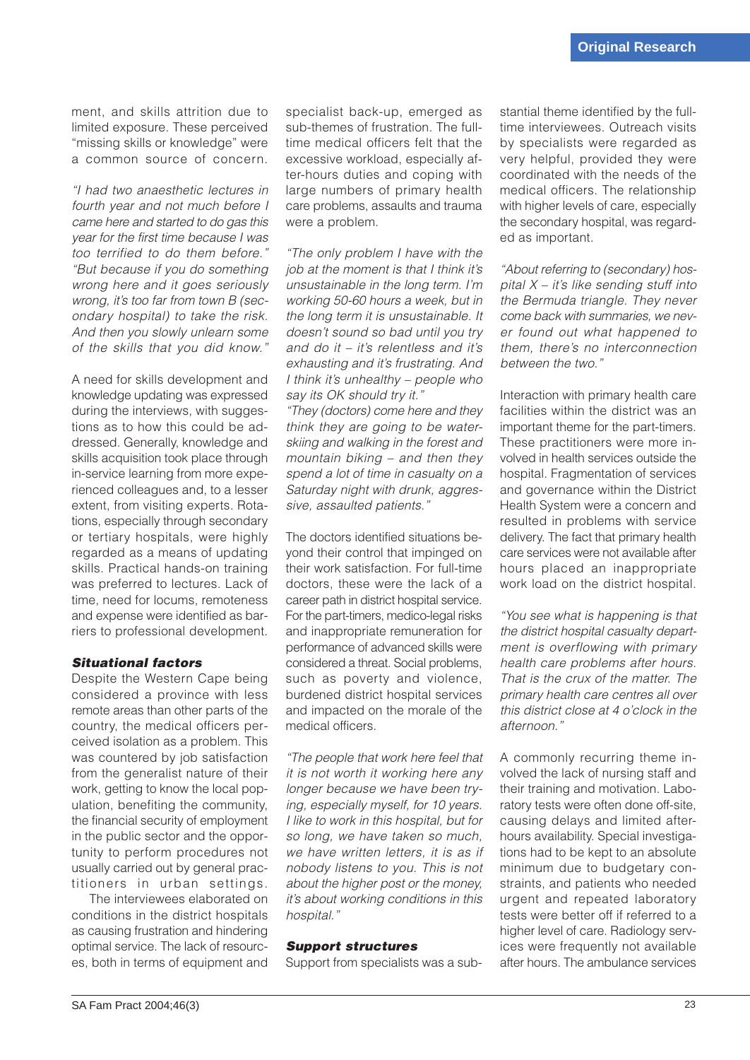ment, and skills attrition due to limited exposure. These perceived "missing skills or knowledge" were a common source of concern.

*"I had two anaesthetic lectures in fourth year and not much before I came here and started to do gas this year for the first time because I was too terrified to do them before." "But because if you do something wrong here and it goes seriously wrong, it's too far from town B (secondary hospital) to take the risk. And then you slowly unlearn some of the skills that you did know."*

A need for skills development and knowledge updating was expressed during the interviews, with suggestions as to how this could be addressed. Generally, knowledge and skills acquisition took place through in-service learning from more experienced colleagues and, to a lesser extent, from visiting experts. Rotations, especially through secondary or tertiary hospitals, were highly regarded as a means of updating skills. Practical hands-on training was preferred to lectures. Lack of time, need for locums, remoteness and expense were identified as barriers to professional development.

### *Situational factors*

Despite the Western Cape being considered a province with less remote areas than other parts of the country, the medical officers perceived isolation as a problem. This was countered by job satisfaction from the generalist nature of their work, getting to know the local population, benefiting the community, the financial security of employment in the public sector and the opportunity to perform procedures not usually carried out by general practitioners in urban settings.

The interviewees elaborated on conditions in the district hospitals as causing frustration and hindering optimal service. The lack of resources, both in terms of equipment and

specialist back-up, emerged as sub-themes of frustration. The fulltime medical officers felt that the excessive workload, especially after-hours duties and coping with large numbers of primary health care problems, assaults and trauma were a problem.

*"The only problem I have with the job at the moment is that I think it's unsustainable in the long term. I'm working 50-60 hours a week, but in the long term it is unsustainable. It doesn't sound so bad until you try and do it – it's relentless and it's exhausting and it's frustrating. And I think it's unhealthy – people who say its OK should try it."*

*"They (doctors) come here and they think they are going to be waterskiing and walking in the forest and mountain biking – and then they spend a lot of time in casualty on a Saturday night with drunk, aggressive, assaulted patients."*

The doctors identified situations beyond their control that impinged on their work satisfaction. For full-time doctors, these were the lack of a career path in district hospital service. For the part-timers, medico-legal risks and inappropriate remuneration for performance of advanced skills were considered a threat. Social problems, such as poverty and violence, burdened district hospital services and impacted on the morale of the medical officers.

*"The people that work here feel that it is not worth it working here any longer because we have been trying, especially myself, for 10 years. I like to work in this hospital, but for so long, we have taken so much, we have written letters, it is as if nobody listens to you. This is not about the higher post or the money, it's about working conditions in this hospital."*

### *Support structures*

Support from specialists was a sub-

stantial theme identified by the fulltime interviewees. Outreach visits by specialists were regarded as very helpful, provided they were coordinated with the needs of the medical officers. The relationship with higher levels of care, especially the secondary hospital, was regarded as important.

*"About referring to (secondary) hospital X – it's like sending stuff into the Bermuda triangle. They never come back with summaries, we never found out what happened to them, there's no interconnection between the two."*

Interaction with primary health care facilities within the district was an important theme for the part-timers. These practitioners were more involved in health services outside the hospital. Fragmentation of services and governance within the District Health System were a concern and resulted in problems with service delivery. The fact that primary health care services were not available after hours placed an inappropriate work load on the district hospital.

*"You see what is happening is that the district hospital casualty department is overflowing with primary health care problems after hours. That is the crux of the matter. The primary health care centres all over this district close at 4 o'clock in the afternoon."*

A commonly recurring theme involved the lack of nursing staff and their training and motivation. Laboratory tests were often done off-site, causing delays and limited afterhours availability. Special investigations had to be kept to an absolute minimum due to budgetary constraints, and patients who needed urgent and repeated laboratory tests were better off if referred to a higher level of care. Radiology services were frequently not available after hours. The ambulance services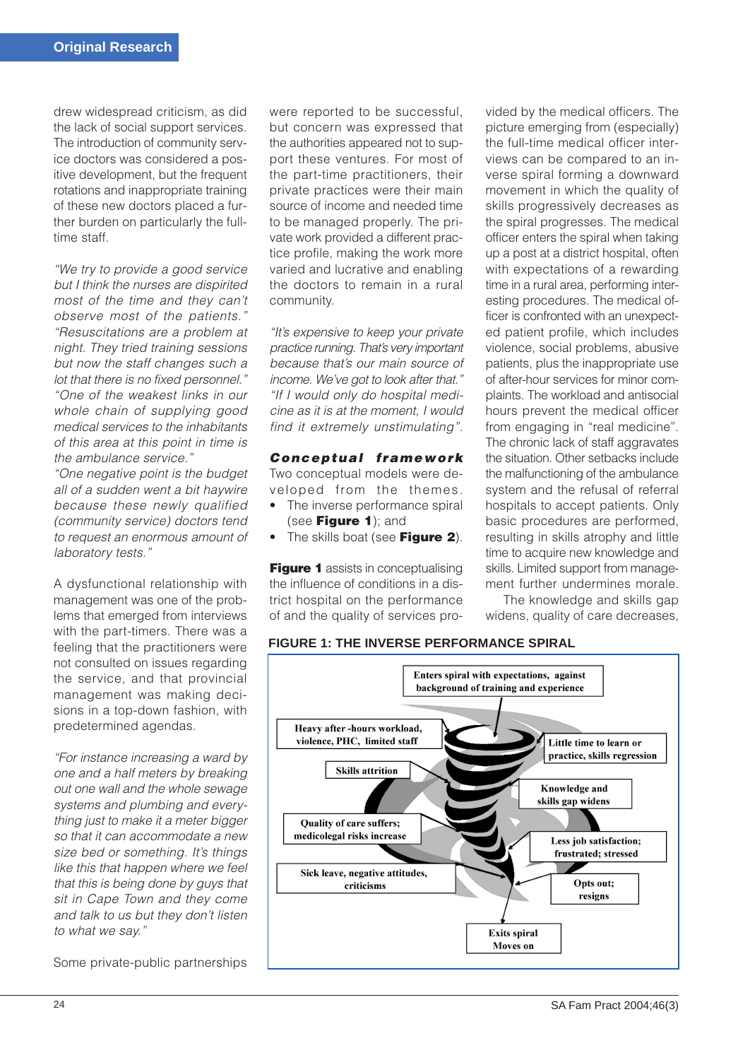drew widespread criticism, as did the lack of social support services. The introduction of community service doctors was considered a positive development, but the frequent rotations and inappropriate training of these new doctors placed a further burden on particularly the fulltime staff.

*"We try to provide a good service but I think the nurses are dispirited most of the time and they can't observe most of the patients." "Resuscitations are a problem at night. They tried training sessions but now the staff changes such a lot that there is no fixed personnel." "One of the weakest links in our whole chain of supplying good medical services to the inhabitants of this area at this point in time is the ambulance service."*

*"One negative point is the budget all of a sudden went a bit haywire because these newly qualified (community service) doctors tend to request an enormous amount of laboratory tests."*

A dysfunctional relationship with management was one of the problems that emerged from interviews with the part-timers. There was a feeling that the practitioners were not consulted on issues regarding the service, and that provincial management was making decisions in a top-down fashion, with predetermined agendas.

*"For instance increasing a ward by one and a half meters by breaking out one wall and the whole sewage systems and plumbing and everything just to make it a meter bigger so that it can accommodate a new size bed or something. It's things like this that happen where we feel that this is being done by guys that sit in Cape Town and they come and talk to us but they don't listen to what we say."*

Some private-public partnerships

were reported to be successful, but concern was expressed that the authorities appeared not to support these ventures. For most of the part-time practitioners, their private practices were their main source of income and needed time to be managed properly. The private work provided a different practice profile, making the work more varied and lucrative and enabling the doctors to remain in a rural community.

*"It's expensive to keep your private practice running. That's very important because that's our main source of income. We've got to look after that." "If I would only do hospital medicine as it is at the moment, I would find it extremely unstimulating".*

# *Conceptual framework*

Two conceptual models were developed from the themes.

- The inverse performance spiral (see Figure 1); and
- The skills boat (see Figure 2).

**Figure 1** assists in conceptualising the influence of conditions in a district hospital on the performance of and the quality of services provided by the medical officers. The picture emerging from (especially) the full-time medical officer interviews can be compared to an inverse spiral forming a downward movement in which the quality of skills progressively decreases as the spiral progresses. The medical officer enters the spiral when taking up a post at a district hospital, often with expectations of a rewarding time in a rural area, performing interesting procedures. The medical officer is confronted with an unexpected patient profile, which includes violence, social problems, abusive patients, plus the inappropriate use of after-hour services for minor complaints. The workload and antisocial hours prevent the medical officer from engaging in "real medicine". The chronic lack of staff aggravates the situation. Other setbacks include the malfunctioning of the ambulance system and the refusal of referral hospitals to accept patients. Only basic procedures are performed, resulting in skills atrophy and little time to acquire new knowledge and skills. Limited support from management further undermines morale.

The knowledge and skills gap widens, quality of care decreases,



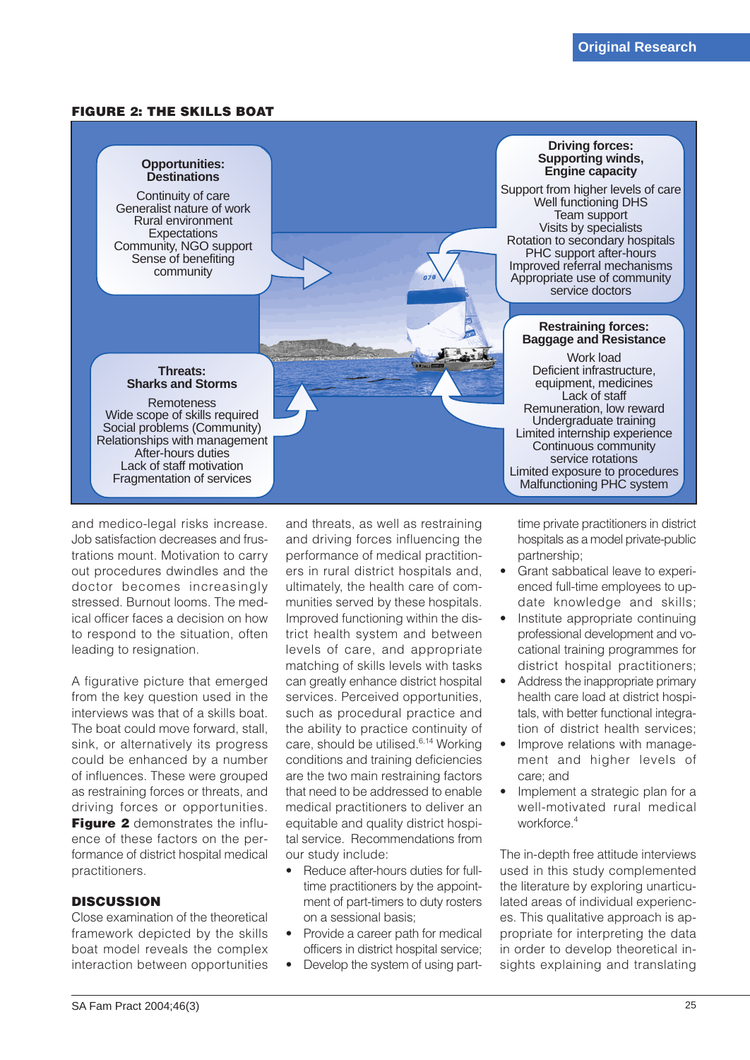### FIGURE 2: THE SKILLS BOAT

# **Opportunities: Destinations**

Continuity of care Generalist nature of work Rural environment **Expectations** Community, NGO support Sense of benefiting community

### **Driving forces: Supporting winds, Engine capacity**

Support from higher levels of care Well functioning DHS Team support Visits by specialists Rotation to secondary hospitals PHC support after-hours Improved referral mechanisms Appropriate use of community service doctors

### **Restraining forces: Baggage and Resistance**

Work load Deficient infrastructure, equipment, medicines Lack of staff Remuneration, low reward Undergraduate training Limited internship experience Continuous community service rotations Limited exposure to procedures Malfunctioning PHC system

#### **Threats: Sharks and Storms**

**Remoteness** Wide scope of skills required Social problems (Community) Relationships with management After-hours duties Lack of staff motivation Fragmentation of services

and medico-legal risks increase. Job satisfaction decreases and frustrations mount. Motivation to carry out procedures dwindles and the doctor becomes increasingly stressed. Burnout looms. The medical officer faces a decision on how to respond to the situation, often leading to resignation.

A figurative picture that emerged from the key question used in the interviews was that of a skills boat. The boat could move forward, stall, sink, or alternatively its progress could be enhanced by a number of influences. These were grouped as restraining forces or threats, and driving forces or opportunities. Figure 2 demonstrates the influence of these factors on the performance of district hospital medical practitioners.

### **DISCUSSION**

Close examination of the theoretical framework depicted by the skills boat model reveals the complex interaction between opportunities

and threats, as well as restraining and driving forces influencing the performance of medical practitioners in rural district hospitals and, ultimately, the health care of communities served by these hospitals. Improved functioning within the district health system and between levels of care, and appropriate matching of skills levels with tasks can greatly enhance district hospital services. Perceived opportunities, such as procedural practice and the ability to practice continuity of care, should be utilised.<sup>6,14</sup> Working conditions and training deficiencies are the two main restraining factors that need to be addressed to enable medical practitioners to deliver an equitable and quality district hospital service. Recommendations from our study include:

- Reduce after-hours duties for fulltime practitioners by the appointment of part-timers to duty rosters on a sessional basis;
- Provide a career path for medical officers in district hospital service;
- Develop the system of using part-

time private practitioners in district hospitals as a model private-public partnership;

- Grant sabbatical leave to experienced full-time employees to update knowledge and skills;
- Institute appropriate continuing professional development and vocational training programmes for district hospital practitioners;
- Address the inappropriate primary health care load at district hospitals, with better functional integration of district health services;
- Improve relations with management and higher levels of care; and
- Implement a strategic plan for a well-motivated rural medical workforce.<sup>4</sup>

The in-depth free attitude interviews used in this study complemented the literature by exploring unarticulated areas of individual experiences. This qualitative approach is appropriate for interpreting the data in order to develop theoretical insights explaining and translating